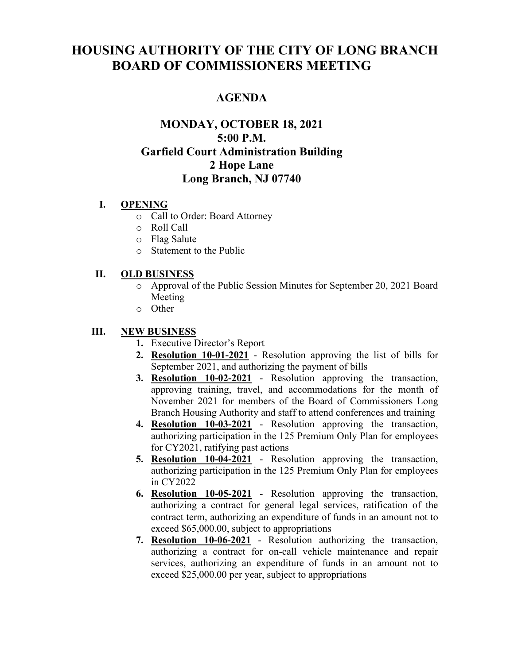# **HOUSING AUTHORITY OF THE CITY OF LONG BRANCH BOARD OF COMMISSIONERS MEETING**

# **AGENDA**

# **MONDAY, OCTOBER 18, 2021 5:00 P.M. Garfield Court Administration Building 2 Hope Lane Long Branch, NJ 07740**

#### **I. OPENING**

- o Call to Order: Board Attorney
- o Roll Call
- o Flag Salute
- o Statement to the Public

### **II. OLD BUSINESS**

- o Approval of the Public Session Minutes for September 20, 2021 Board Meeting
- o Other

## **III. NEW BUSINESS**

- **1.** Executive Director's Report
- **2. Resolution 10-01-2021** Resolution approving the list of bills for September 2021, and authorizing the payment of bills
- **3. Resolution 10-02-2021** Resolution approving the transaction, approving training, travel, and accommodations for the month of November 2021 for members of the Board of Commissioners Long Branch Housing Authority and staff to attend conferences and training
- **4. Resolution 10-03-2021** Resolution approving the transaction, authorizing participation in the 125 Premium Only Plan for employees for CY2021, ratifying past actions
- **5. Resolution 10-04-2021** Resolution approving the transaction, authorizing participation in the 125 Premium Only Plan for employees in CY2022
- **6. Resolution 10-05-2021** Resolution approving the transaction, authorizing a contract for general legal services, ratification of the contract term, authorizing an expenditure of funds in an amount not to exceed \$65,000.00, subject to appropriations
- **7. Resolution 10-06-2021** Resolution authorizing the transaction, authorizing a contract for on-call vehicle maintenance and repair services, authorizing an expenditure of funds in an amount not to exceed \$25,000.00 per year, subject to appropriations